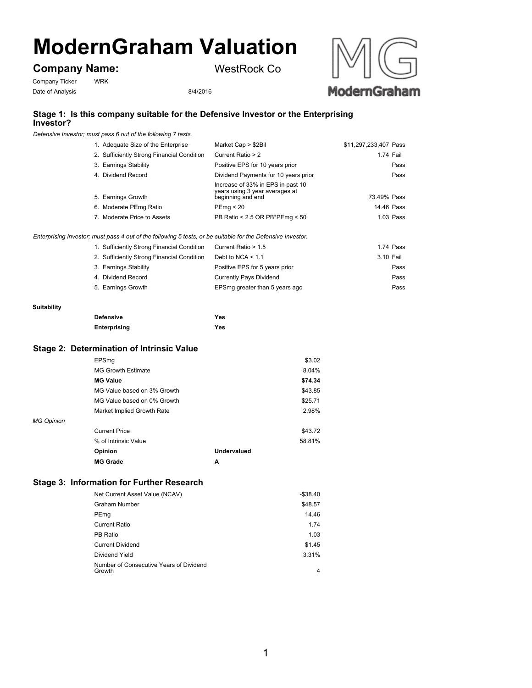# **ModernGraham Valuation**

# **Company Name:**

Company Ticker WRK

Date of Analysis 8/4/2016



## **Stage 1: Is this company suitable for the Defensive Investor or the Enterprising Investor?**

*Defensive Investor; must pass 6 out of the following 7 tests.*

| 1. Adequate Size of the Enterprise         | Market Cap > \$2Bil                                                                      | \$11,297,233,407 Pass |
|--------------------------------------------|------------------------------------------------------------------------------------------|-----------------------|
| 2. Sufficiently Strong Financial Condition | Current Ratio > 2                                                                        | 1.74 Fail             |
| 3. Earnings Stability                      | Positive EPS for 10 years prior                                                          | Pass                  |
| 4. Dividend Record                         | Dividend Payments for 10 years prior                                                     | Pass                  |
| 5. Earnings Growth                         | Increase of 33% in EPS in past 10<br>years using 3 year averages at<br>beginning and end | 73.49% Pass           |
| 6. Moderate PEmg Ratio                     | PEmq < 20                                                                                | 14.46 Pass            |
| 7. Moderate Price to Assets                | PB Ratio < 2.5 OR PB*PEmg < 50                                                           | 1.03 Pass             |

WestRock Co

*Enterprising Investor; must pass 4 out of the following 5 tests, or be suitable for the Defensive Investor.*

| 1. Sufficiently Strong Financial Condition | Current Ratio > 1.5            | 1.74 Pass |
|--------------------------------------------|--------------------------------|-----------|
| 2. Sufficiently Strong Financial Condition | Debt to NCA $< 1.1$            | 3.10 Fail |
| 3. Earnings Stability                      | Positive EPS for 5 years prior | Pass      |
| 4. Dividend Record                         | <b>Currently Pays Dividend</b> | Pass      |
| 5. Earnings Growth                         | EPSmg greater than 5 years ago | Pass      |

#### **Suitability**

| <b>Defensive</b> | Yes |
|------------------|-----|
| Enterprising     | Yes |

# **Stage 2: Determination of Intrinsic Value**

|                   | EPSmq                       |             | \$3.02  |
|-------------------|-----------------------------|-------------|---------|
|                   | <b>MG Growth Estimate</b>   |             | 8.04%   |
|                   | <b>MG Value</b>             |             | \$74.34 |
|                   | MG Value based on 3% Growth |             | \$43.85 |
|                   | MG Value based on 0% Growth |             | \$25.71 |
|                   | Market Implied Growth Rate  |             | 2.98%   |
| <b>MG Opinion</b> |                             |             |         |
|                   | <b>Current Price</b>        |             | \$43.72 |
|                   | % of Intrinsic Value        |             | 58.81%  |
|                   | Opinion                     | Undervalued |         |
|                   | <b>MG Grade</b>             | A           |         |

# **Stage 3: Information for Further Research**

| Net Current Asset Value (NCAV)                    | $-$ \$38.40 |
|---------------------------------------------------|-------------|
| Graham Number                                     | \$48.57     |
| PEmg                                              | 14.46       |
| Current Ratio                                     | 1.74        |
| PB Ratio                                          | 1.03        |
| <b>Current Dividend</b>                           | \$1.45      |
| Dividend Yield                                    | 3.31%       |
| Number of Consecutive Years of Dividend<br>Growth | 4           |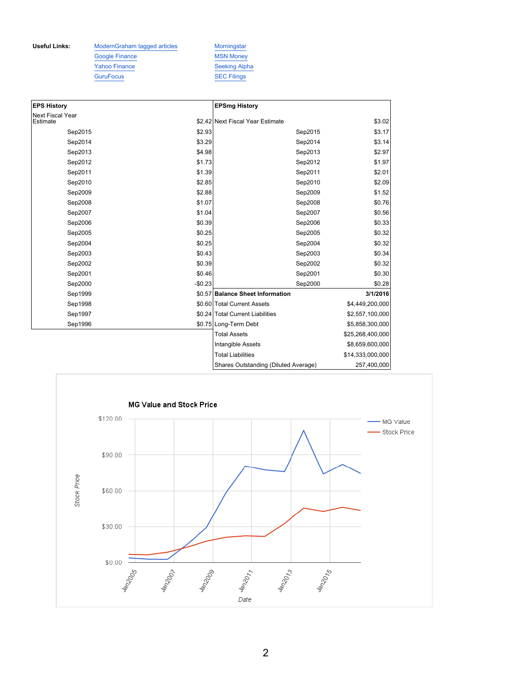Useful Links: ModernGraham tagged articles Morningstar Google Finance MSN Money Yahoo Finance Seeking Alpha GuruFocus SEC Filings

| <b>EPS History</b>                  |          | <b>EPSmg History</b>                 |                  |
|-------------------------------------|----------|--------------------------------------|------------------|
| <b>Next Fiscal Year</b><br>Estimate |          | \$2.42 Next Fiscal Year Estimate     | \$3.02           |
| Sep2015                             | \$2.93   | Sep2015                              | \$3.17           |
| Sep2014                             | \$3.29   | Sep2014                              | \$3.14           |
| Sep2013                             | \$4.98   | Sep2013                              | \$2.97           |
| Sep2012                             | \$1.73   | Sep2012                              | \$1.97           |
| Sep2011                             | \$1.39   | Sep2011                              | \$2.01           |
| Sep2010                             | \$2.85   | Sep2010                              | \$2.09           |
| Sep2009                             | \$2.88   | Sep2009                              | \$1.52           |
| Sep2008                             | \$1.07   | Sep2008                              | \$0.76           |
| Sep2007                             | \$1.04   | Sep2007                              | \$0.56           |
| Sep2006                             | \$0.39   | Sep2006                              | \$0.33           |
| Sep2005                             | \$0.25   | Sep2005                              | \$0.32           |
| Sep2004                             | \$0.25   | Sep2004                              | \$0.32           |
| Sep2003                             | \$0.43   | Sep2003                              | \$0.34           |
| Sep2002                             | \$0.39   | Sep2002                              | \$0.32           |
| Sep2001                             | \$0.46   | Sep2001                              | \$0.30           |
| Sep2000                             | $-$0.23$ | Sep2000                              | \$0.28           |
| Sep1999                             |          | \$0.57 Balance Sheet Information     | 3/1/2016         |
| Sep1998                             |          | \$0.60 Total Current Assets          | \$4,449,200,000  |
| Sep1997                             |          | \$0.24 Total Current Liabilities     | \$2,557,100,000  |
| Sep1996                             |          | \$0.75 Long-Term Debt                | \$5,858,300,000  |
|                                     |          | <b>Total Assets</b>                  | \$25,268,400,000 |
|                                     |          | Intangible Assets                    | \$8,659,600,000  |
|                                     |          | <b>Total Liabilities</b>             | \$14,333,000,000 |
|                                     |          | Shares Outstanding (Diluted Average) | 257,400,000      |